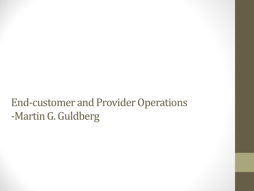### End-customer and Provider Operations -Martin G. Guldberg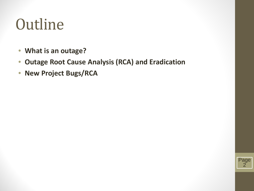# **Outline**

- **What is an outage?**
- **Outage Root Cause Analysis (RCA) and Eradication**
- **New Project Bugs/RCA**

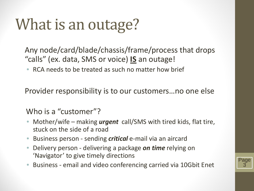# What is an outage?

Any node/card/blade/chassis/frame/process that drops "calls" (ex. data, SMS or voice) **IS** an outage!

• RCA needs to be treated as such no matter how brief

Provider responsibility is to our customers…no one else

#### Who is a "customer"?

- Mother/wife making *urgent* call/SMS with tired kids, flat tire, stuck on the side of a road
- Business person sending *critical* e-mail via an aircard
- Delivery person delivering a package *on time* relying on 'Navigator' to give timely directions
- Business email and video conferencing carried via 10Gbit Enet

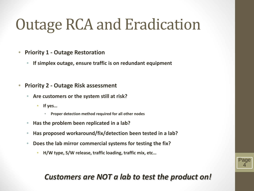# Outage RCA and Eradication

- **Priority 1 - Outage Restoration**
	- **If simplex outage, ensure traffic is on redundant equipment**
- **Priority 2 - Outage Risk assessment**
	- **Are customers or the system still at risk?**
		- **If yes…**
			- **Proper detection method required for all other nodes**
	- **Has the problem been replicated in a lab?**
	- **Has proposed workaround/fix/detection been tested in a lab?**
	- **Does the lab mirror commercial systems for testing the fix?**
		- **H/W type, S/W release, traffic loading, traffic mix, etc…**

### *Customers are NOT a lab to test the product on!*

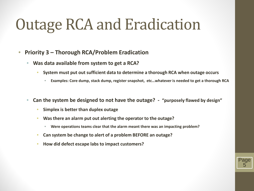## Outage RCA and Eradication

- **Priority 3 – Thorough RCA/Problem Eradication**
	- **Was data available from system to get a RCA?**
		- **System must put out sufficient data to determine a thorough RCA when outage occurs**
			- **Examples: Core dump, stack dump, register snapshot, etc…whatever is needed to get a thorough RCA**

Page 5

- **Can the system be designed to not have the outage? "purposely flawed by design"**
	- **Simplex is better than duplex outage**
	- **Was there an alarm put out alerting the operator to the outage?**
		- **Were operations teams clear that the alarm meant there was an impacting problem?**
	- **Can system be change to alert of a problem BEFORE an outage?**
	- **How did defect escape labs to impact customers?**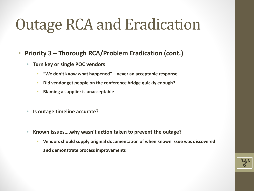# Outage RCA and Eradication

- **Priority 3 – Thorough RCA/Problem Eradication (cont.)**
	- **Turn key or single POC vendors**
		- **"We don't know what happened" – never an acceptable response**
		- **Did vendor get people on the conference bridge quickly enough?**
		- **Blaming a supplier is unacceptable**
	- **Is outage timeline accurate?**
	- **Known issues….why wasn't action taken to prevent the outage?**
		- **Vendors should supply original documentation of when known issue was discovered and demonstrate process improvements**

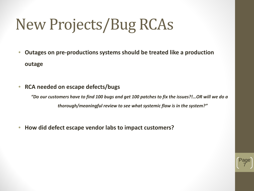# New Projects/Bug RCAs

- **Outages on pre-productions systems should be treated like a production outage**
- **RCA needed on escape defects/bugs**

*"Do our customers have to find 100 bugs and get 100 patches to fix the issues?!…OR will we do a thorough/meaningful review to see what systemic flaw is in the system?"*

• **How did defect escape vendor labs to impact customers?**